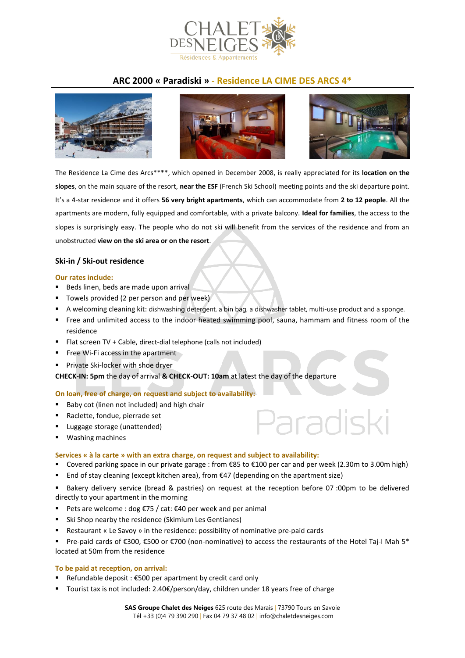

# **ARC 2000 « Paradiski » - Residence LA CIME DES ARCS 4\***







aradiski

The Residence La Cime des Arcs\*\*\*\*, which opened in December 2008, is really appreciated for its **location on the slopes**, on the main square of the resort, **near the ESF** (French Ski School) meeting points and the ski departure point. It's a 4-star residence and it offers **56 very bright apartments**, which can accommodate from **2 to 12 people**. All the apartments are modern, fully equipped and comfortable, with a private balcony. **Ideal for families**, the access to the slopes is surprisingly easy. The people who do not ski will benefit from the services of the residence and from an unobstructed **view on the ski area or on the resort**.

### **Ski-in / Ski-out residence**

#### **Our rates include:**

- Beds linen, beds are made upon arrival
- Towels provided (2 per person and per week)
- A welcoming cleaning kit: dishwashing detergent, a bin bag, a dishwasher tablet, multi-use product and a sponge.
- Free and unlimited access to the indoor heated swimming pool, sauna, hammam and fitness room of the residence
- Flat screen TV + Cable, direct-dial telephone (calls not included)
- **Fig. 4** Free Wi-Fi access in the apartment
- **Private Ski-locker with shoe dryer**

**CHECK-IN: 5pm** the day of arrival **& CHECK-OUT: 10am** at latest the day of the departure

#### **On loan, free of charge, on request and subject to availability:**

- Baby cot (linen not included) and high chair
- Raclette, fondue, pierrade set
- **Luggage storage (unattended)**
- Washing machines

#### **Services « à la carte » with an extra charge, on request and subject to availability:**

- Covered parking space in our private garage : from €85 to €100 per car and per week (2.30m to 3.00m high)
- End of stay cleaning (except kitchen area), from  $\epsilon$ 47 (depending on the apartment size)
- Bakery delivery service (bread & pastries) on request at the reception before 07 :00pm to be delivered directly to your apartment in the morning
- Pets are welcome : dog €75 / cat: €40 per week and per animal
- Ski Shop nearby the residence (Skimium Les Gentianes)
- Restaurant « Le Savoy » in the residence: possibility of nominative pre-paid cards
- Pre-paid cards of €300, €500 or €700 (non-nominative) to access the restaurants of the Hotel Taj-I Mah 5\* located at 50m from the residence

#### **To be paid at reception, on arrival:**

- Refundable deposit : €500 per apartment by credit card only
- Tourist tax is not included: 2.40€/person/day, children under 18 years free of charge